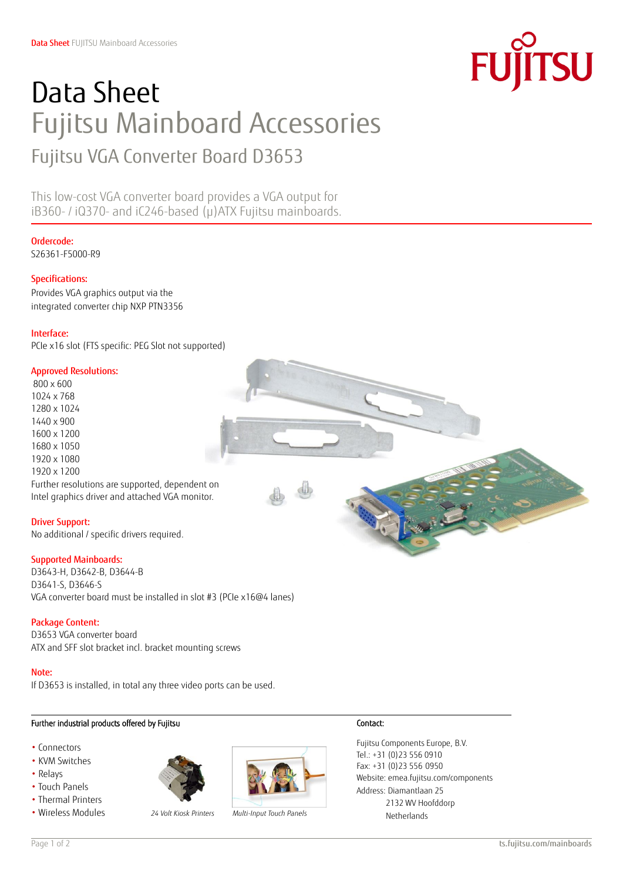

# Data Sheet Fujitsu Mainboard Accessories Fujitsu VGA Converter Board D3653

This low-cost VGA converter board provides a VGA output for iB360- / iQ370- and iC246-based (µ)ATX Fujitsu mainboards.

# Ordercode:

S26361-F5000-R9

# Specifications:

Provides VGA graphics output via the integrated converter chip NXP PTN3356

#### Interface:

PCIe x16 slot (FTS specific: PEG Slot not supported)

#### Approved Resolutions:

800 x 600 1024 x 768 1280 x 1024 1440 x 900 1600 x 1200 1680 x 1050 1920 x 1080 1920 x 1200 Further resolutions are supported, dependent on Intel graphics driver and attached VGA monitor.

Driver Support: No additional / specific drivers required.

# Supported Mainboards:

D3643-H, D3642-B, D3644-B D3641-S, D3646-S VGA converter board must be installed in slot #3 (PCIe x16@4 lanes)

# Package Content:

D3653 VGA converter board ATX and SFF slot bracket incl. bracket mounting screws

#### Note:

 $\overline{a}$ 

If D3653 is installed, in total any three video ports can be used.

# Further industrial products offered by Fujitsu

- Connectors
- KVM Switches
- Relays
- Touch Panels
- Thermal Printers
- 





• Wireless Modules *24 Volt Kiosk Printers Multi-Input Touch Panels*

# Contact:

Fujitsu Components Europe, B.V. Tel.: +31 (0)23 556 0910 Fax: +31 (0)23 556 0950 Website[: emea.fujitsu.com/components](http://www.fujitsu.com/emea/services/components/) Address: Diamantlaan 25 2132 WV Hoofddorp Netherlands